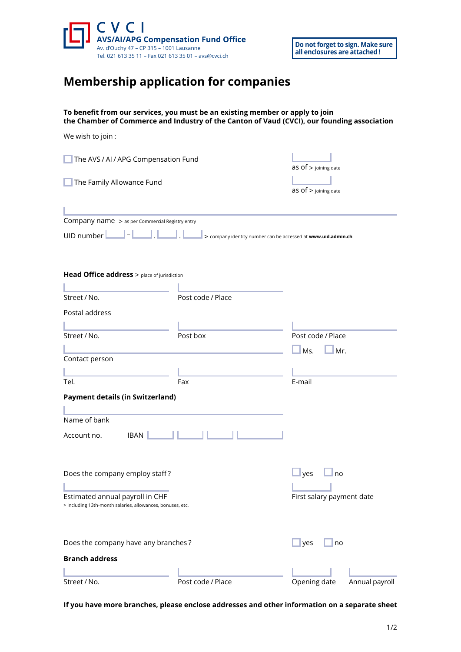

## **Membership application for companies**

## **To benefit from our services, you must be an existing member or apply to join the Chamber of Commerce and Industry of the Canton of Vaud (CVCI), our founding association**

| We wish to join:                                                                              |                                                               |                           |                |
|-----------------------------------------------------------------------------------------------|---------------------------------------------------------------|---------------------------|----------------|
| The AVS / AI / APG Compensation Fund                                                          |                                                               | $as$ of $>$ joining date  |                |
| The Family Allowance Fund                                                                     |                                                               | $as$ of $>$ joining date  |                |
| Company name > as per Commercial Registry entry                                               |                                                               |                           |                |
| UID number                                                                                    | > company identity number can be accessed at www.uid.admin.ch |                           |                |
| Head Office address > place of jurisdiction                                                   |                                                               |                           |                |
| Street / No.                                                                                  | Post code / Place                                             |                           |                |
| Postal address                                                                                |                                                               |                           |                |
| Street / No.                                                                                  | Post box                                                      | Post code / Place         |                |
|                                                                                               |                                                               | Ms.<br>Mr.                |                |
| Contact person                                                                                |                                                               |                           |                |
| Tel.                                                                                          | Fax                                                           | E-mail                    |                |
| <b>Payment details (in Switzerland)</b>                                                       |                                                               |                           |                |
| Name of bank                                                                                  |                                                               |                           |                |
| <b>IBAN</b><br>Account no.                                                                    |                                                               |                           |                |
| Does the company employ staff?                                                                |                                                               | yes<br>no                 |                |
| Estimated annual payroll in CHF<br>> including 13th-month salaries, allowances, bonuses, etc. |                                                               | First salary payment date |                |
| Does the company have any branches?                                                           |                                                               | yes<br>no                 |                |
| <b>Branch address</b>                                                                         |                                                               |                           |                |
| Street / No.                                                                                  | Post code / Place                                             | Opening date              | Annual payroll |

**If you have more branches, please enclose addresses and other information on a separate sheet**